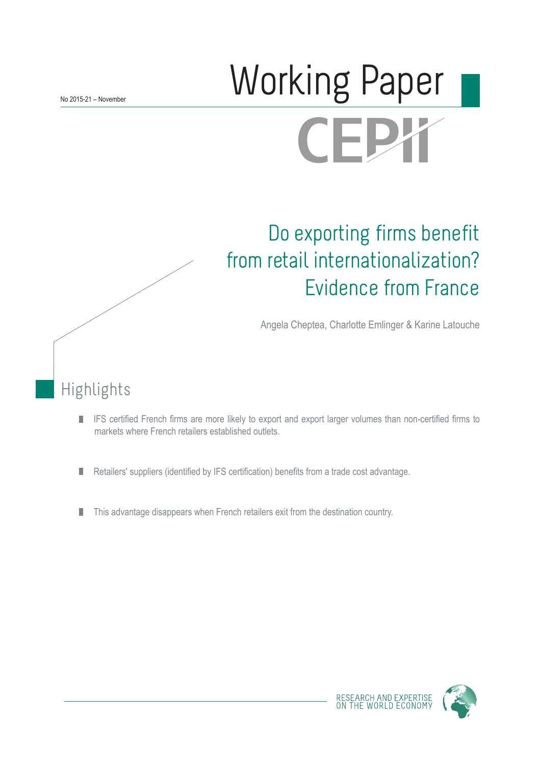# Working Paper **CEPX**

## Do exporting firms benefit from retail internationalization? Evidence from France

Angela Cheptea, Charlotte Emlinger & Karine Latouche

## Highlights

- IFS certified French firms are more likely to export and export larger volumes than non-certified firms to  $\mathcal{C}$ markets where French retailers established outlets.
- Retailers' suppliers (identified by IFS certification) benefits from a trade cost advantage. H
- This advantage disappears when French retailers exit from the destination country. H

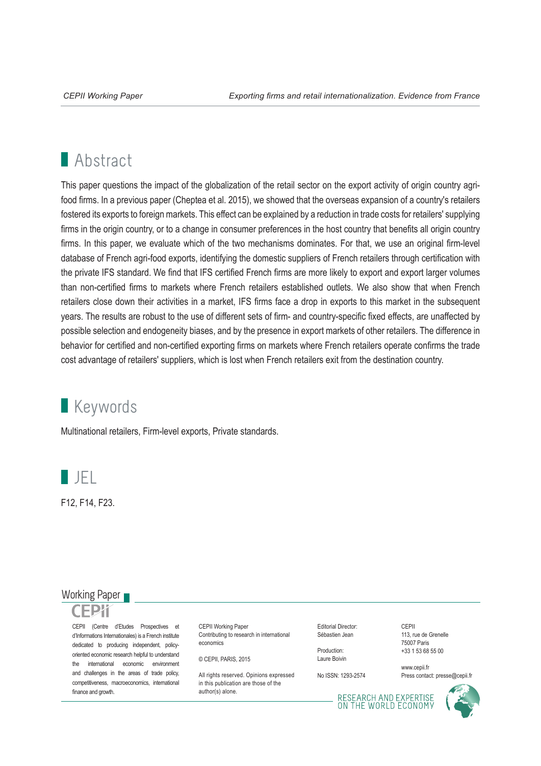## **Abstract**

This paper questions the impact of the globalization of the retail sector on the export activity of origin country agrifood firms. In a previous paper (Cheptea et al. 2015), we showed that the overseas expansion of a country's retailers fostered its exports to foreign markets. This effect can be explained by a reduction in trade costs for retailers' supplying firms in the origin country, or to a change in consumer preferences in the host country that benefits all origin country firms. In this paper, we evaluate which of the two mechanisms dominates. For that, we use an original firm-level database of French agri-food exports, identifying the domestic suppliers of French retailers through certification with the private IFS standard. We find that IFS certified French firms are more likely to export and export larger volumes than non-certified firms to markets where French retailers established outlets. We also show that when French retailers close down their activities in a market, IFS firms face a drop in exports to this market in the subsequent years. The results are robust to the use of different sets of firm- and country-specific fixed effects, are unaffected by possible selection and endogeneity biases, and by the presence in export markets of other retailers. The difference in behavior for certified and non-certified exporting firms on markets where French retailers operate confirms the trade cost advantage of retailers' suppliers, which is lost when French retailers exit from the destination country.

## **Keywords**

Multinational retailers, Firm-level exports, Private standards.



F12, F14, F23.

#### Working Paper

CEPII (Centre d'Etudes Prospectives et d'Informations Internationales) is a French institute dedicated to producing independent, policyoriented economic research helpful to understand the international economic environment and challenges in the areas of trade policy, competitiveness, macroeconomics, international finance and growth.

CEPII Working Paper Contributing to research in international economics

© CEPII, PARIS, 2015

All rights reserved. Opinions expressed in this publication are those of the author(s) alone.

Editorial Director: Sébastien Jean

Production: Laure Boivin

No ISSN: 1293-2574

CEPII 113, rue de Grenelle 75007 Paris +33 1 53 68 55 00

www.cepii.fr Press contact: presse@cepii.fr

RESEARCH AND EXPERTISE<br>ON THE WORLD ECONOMY

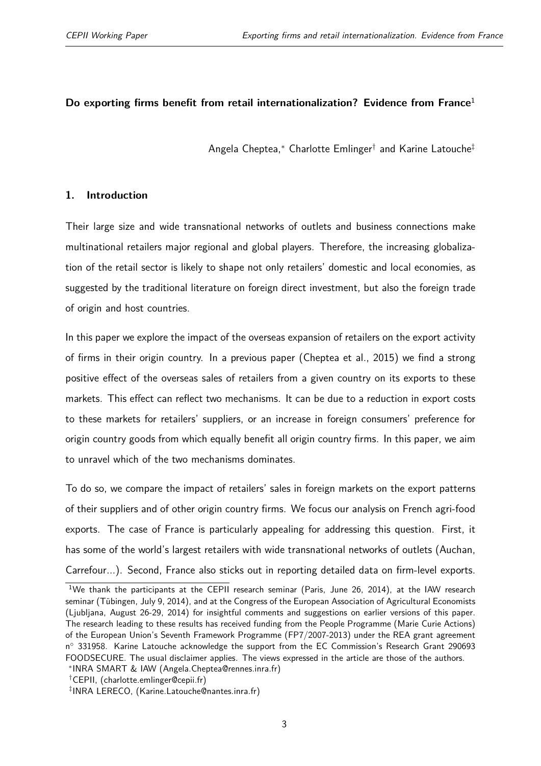#### <span id="page-2-0"></span>**Do exporting firms benefit from retail internationalization? Evidence from France**<sup>1</sup>

Angela Cheptea,\* Charlotte Emlinger<sup>†</sup> and Karine Latouche<sup>‡</sup>

#### **1. Introduction**

Their large size and wide transnational networks of outlets and business connections make multinational retailers major regional and global players. Therefore, the increasing globalization of the retail sector is likely to shape not only retailers' domestic and local economies, as suggested by the traditional literature on foreign direct investment, but also the foreign trade of origin and host countries.

In this paper we explore the impact of the overseas expansion of retailers on the export activity of firms in their origin country. In a previous paper [\(Cheptea et al.,](#page-25-0) [2015\)](#page-25-0) we find a strong positive effect of the overseas sales of retailers from a given country on its exports to these markets. This effect can reflect two mechanisms. It can be due to a reduction in export costs to these markets for retailers' suppliers, or an increase in foreign consumers' preference for origin country goods from which equally benefit all origin country firms. In this paper, we aim to unravel which of the two mechanisms dominates.

To do so, we compare the impact of retailers' sales in foreign markets on the export patterns of their suppliers and of other origin country firms. We focus our analysis on French agri-food exports. The case of France is particularly appealing for addressing this question. First, it has some of the world's largest retailers with wide transnational networks of outlets (Auchan, Carrefour...). Second, France also sticks out in reporting detailed data on firm-level exports.

<sup>&</sup>lt;sup>1</sup>We thank the participants at the CEPII research seminar (Paris, June 26, 2014), at the IAW research seminar (Tübingen, July 9, 2014), and at the Congress of the European Association of Agricultural Economists (Ljubljana, August 26-29, 2014) for insightful comments and suggestions on earlier versions of this paper. The research leading to these results has received funding from the People Programme (Marie Curie Actions) of the European Union's Seventh Framework Programme (FP7/2007-2013) under the REA grant agreement n<sup>o</sup> 331958. Karine Latouche acknowledge the support from the EC Commission's Research Grant 290693 FOODSECURE. The usual disclaimer applies. The views expressed in the article are those of the authors.

<sup>∗</sup> INRA SMART & IAW (Angela.Cheptea@rennes.inra.fr)

<sup>†</sup>CEPII, (charlotte.emlinger@cepii.fr)

<sup>‡</sup> INRA LERECO, (Karine.Latouche@nantes.inra.fr)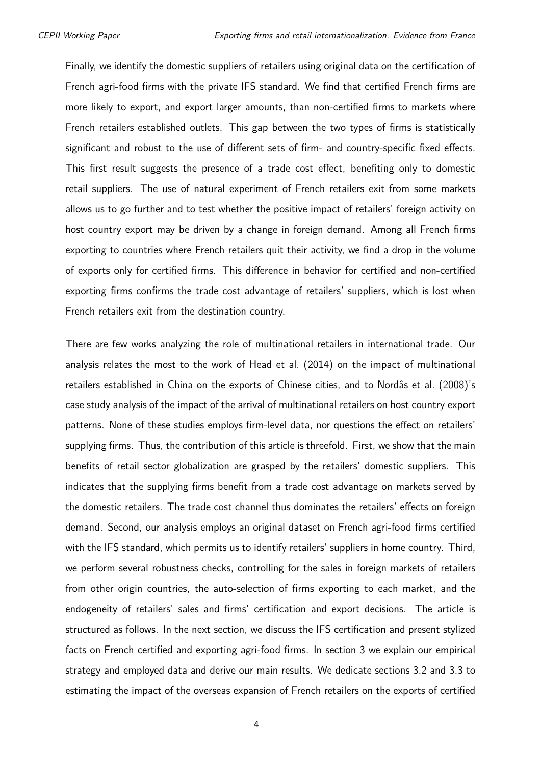Finally, we identify the domestic suppliers of retailers using original data on the certification of French agri-food firms with the private IFS standard. We find that certified French firms are more likely to export, and export larger amounts, than non-certified firms to markets where French retailers established outlets. This gap between the two types of firms is statistically significant and robust to the use of different sets of firm- and country-specific fixed effects. This first result suggests the presence of a trade cost effect, benefiting only to domestic retail suppliers. The use of natural experiment of French retailers exit from some markets allows us to go further and to test whether the positive impact of retailers' foreign activity on host country export may be driven by a change in foreign demand. Among all French firms exporting to countries where French retailers quit their activity, we find a drop in the volume of exports only for certified firms. This difference in behavior for certified and non-certified exporting firms confirms the trade cost advantage of retailers' suppliers, which is lost when French retailers exit from the destination country.

There are few works analyzing the role of multinational retailers in international trade. Our analysis relates the most to the work of [Head et al.](#page-26-0) [\(2014\)](#page-26-0) on the impact of multinational retailers established in China on the exports of Chinese cities, and to [Nordås et al.](#page-26-1) [\(2008\)](#page-26-1)'s case study analysis of the impact of the arrival of multinational retailers on host country export patterns. None of these studies employs firm-level data, nor questions the effect on retailers' supplying firms. Thus, the contribution of this article is threefold. First, we show that the main benefits of retail sector globalization are grasped by the retailers' domestic suppliers. This indicates that the supplying firms benefit from a trade cost advantage on markets served by the domestic retailers. The trade cost channel thus dominates the retailers' effects on foreign demand. Second, our analysis employs an original dataset on French agri-food firms certified with the IFS standard, which permits us to identify retailers' suppliers in home country. Third, we perform several robustness checks, controlling for the sales in foreign markets of retailers from other origin countries, the auto-selection of firms exporting to each market, and the endogeneity of retailers' sales and firms' certification and export decisions. The article is structured as follows. In the next section, we discuss the IFS certification and present stylized facts on French certified and exporting agri-food firms. In section [3](#page-9-0) we explain our empirical strategy and employed data and derive our main results. We dedicate sections [3.2](#page-11-0) and [3.3](#page-13-0) to estimating the impact of the overseas expansion of French retailers on the exports of certified

4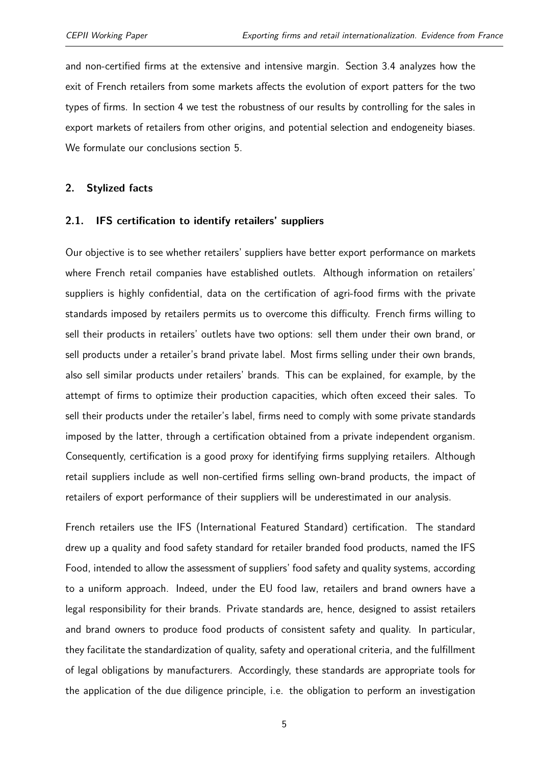and non-certified firms at the extensive and intensive margin. Section [3.4](#page-15-0) analyzes how the exit of French retailers from some markets affects the evolution of export patters for the two types of firms. In section [4](#page-18-0) we test the robustness of our results by controlling for the sales in export markets of retailers from other origins, and potential selection and endogeneity biases. We formulate our conclusions section [5.](#page-24-0)

#### <span id="page-4-0"></span>**2. Stylized facts**

#### **2.1. IFS certification to identify retailers' suppliers**

Our objective is to see whether retailers' suppliers have better export performance on markets where French retail companies have established outlets. Although information on retailers' suppliers is highly confidential, data on the certification of agri-food firms with the private standards imposed by retailers permits us to overcome this difficulty. French firms willing to sell their products in retailers' outlets have two options: sell them under their own brand, or sell products under a retailer's brand private label. Most firms selling under their own brands, also sell similar products under retailers' brands. This can be explained, for example, by the attempt of firms to optimize their production capacities, which often exceed their sales. To sell their products under the retailer's label, firms need to comply with some private standards imposed by the latter, through a certification obtained from a private independent organism. Consequently, certification is a good proxy for identifying firms supplying retailers. Although retail suppliers include as well non-certified firms selling own-brand products, the impact of retailers of export performance of their suppliers will be underestimated in our analysis.

French retailers use the IFS (International Featured Standard) certification. The standard drew up a quality and food safety standard for retailer branded food products, named the IFS Food, intended to allow the assessment of suppliers' food safety and quality systems, according to a uniform approach. Indeed, under the EU food law, retailers and brand owners have a legal responsibility for their brands. Private standards are, hence, designed to assist retailers and brand owners to produce food products of consistent safety and quality. In particular, they facilitate the standardization of quality, safety and operational criteria, and the fulfillment of legal obligations by manufacturers. Accordingly, these standards are appropriate tools for the application of the due diligence principle, i.e. the obligation to perform an investigation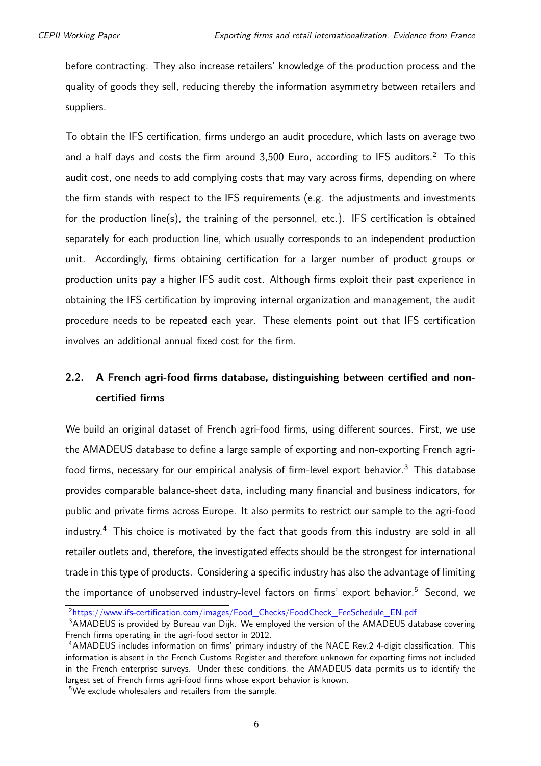before contracting. They also increase retailers' knowledge of the production process and the quality of goods they sell, reducing thereby the information asymmetry between retailers and suppliers.

To obtain the IFS certification, firms undergo an audit procedure, which lasts on average two and a half days and costs the firm around  $3,500$  Euro, according to IFS auditors.<sup>[2](#page-2-0)</sup> To this audit cost, one needs to add complying costs that may vary across firms, depending on where the firm stands with respect to the IFS requirements (e.g. the adjustments and investments for the production line(s), the training of the personnel, etc.). IFS certification is obtained separately for each production line, which usually corresponds to an independent production unit. Accordingly, firms obtaining certification for a larger number of product groups or production units pay a higher IFS audit cost. Although firms exploit their past experience in obtaining the IFS certification by improving internal organization and management, the audit procedure needs to be repeated each year. These elements point out that IFS certification involves an additional annual fixed cost for the firm.

#### **2.2. A French agri-food firms database, distinguishing between certified and noncertified firms**

We build an original dataset of French agri-food firms, using different sources. First, we use the AMADEUS database to define a large sample of exporting and non-exporting French agri-food firms, necessary for our empirical analysis of firm-level export behavior.<sup>[3](#page-2-0)</sup> This database provides comparable balance-sheet data, including many financial and business indicators, for public and private firms across Europe. It also permits to restrict our sample to the agri-food industry.[4](#page-2-0) This choice is motivated by the fact that goods from this industry are sold in all retailer outlets and, therefore, the investigated effects should be the strongest for international trade in this type of products. Considering a specific industry has also the advantage of limiting the importance of unobserved industry-level factors on firms' export behavior.<sup>[5](#page-2-0)</sup> Second, we

<sup>2</sup>[https://www.ifs-certification.com/images/Food\\_Checks/FoodCheck\\_FeeSchedule\\_EN.pdf](https://www.ifs-certification.com/images/Food_Checks/FoodCheck_FeeSchedule_EN.pdf)

<sup>&</sup>lt;sup>3</sup>AMADEUS is provided by Bureau van Dijk. We employed the version of the AMADEUS database covering French firms operating in the agri-food sector in 2012.

<sup>4</sup>AMADEUS includes information on firms' primary industry of the NACE Rev.2 4-digit classification. This information is absent in the French Customs Register and therefore unknown for exporting firms not included in the French enterprise surveys. Under these conditions, the AMADEUS data permits us to identify the largest set of French firms agri-food firms whose export behavior is known.

<sup>5</sup>We exclude wholesalers and retailers from the sample.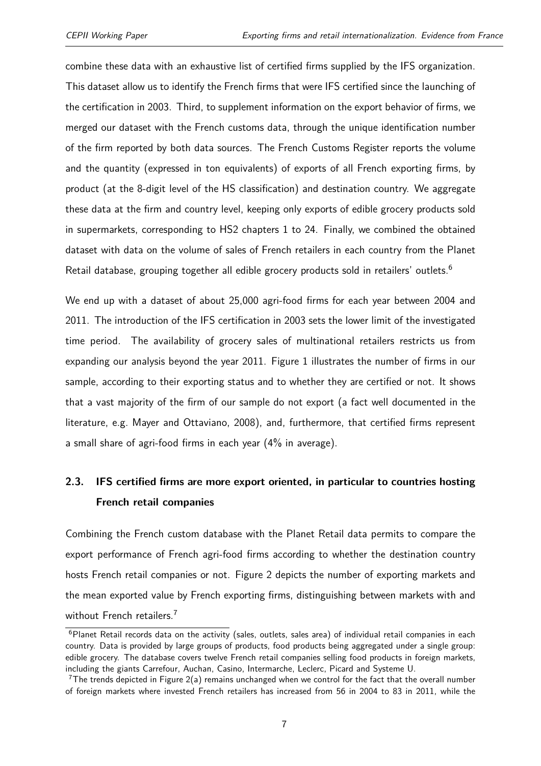combine these data with an exhaustive list of certified firms supplied by the IFS organization. This dataset allow us to identify the French firms that were IFS certified since the launching of the certification in 2003. Third, to supplement information on the export behavior of firms, we merged our dataset with the French customs data, through the unique identification number of the firm reported by both data sources. The French Customs Register reports the volume and the quantity (expressed in ton equivalents) of exports of all French exporting firms, by product (at the 8-digit level of the HS classification) and destination country. We aggregate these data at the firm and country level, keeping only exports of edible grocery products sold in supermarkets, corresponding to HS2 chapters 1 to 24. Finally, we combined the obtained dataset with data on the volume of sales of French retailers in each country from the Planet Retail database, grouping together all edible grocery products sold in retailers' outlets.<sup>[6](#page-2-0)</sup>

We end up with a dataset of about 25,000 agri-food firms for each year between 2004 and 2011. The introduction of the IFS certification in 2003 sets the lower limit of the investigated time period. The availability of grocery sales of multinational retailers restricts us from expanding our analysis beyond the year 2011. Figure [1](#page-7-0) illustrates the number of firms in our sample, according to their exporting status and to whether they are certified or not. It shows that a vast majority of the firm of our sample do not export (a fact well documented in the literature, e.g. [Mayer and Ottaviano,](#page-26-2) [2008\)](#page-26-2), and, furthermore, that certified firms represent a small share of agri-food firms in each year (4% in average).

### **2.3. IFS certified firms are more export oriented, in particular to countries hosting French retail companies**

Combining the French custom database with the Planet Retail data permits to compare the export performance of French agri-food firms according to whether the destination country hosts French retail companies or not. Figure [2](#page-7-1) depicts the number of exporting markets and the mean exported value by French exporting firms, distinguishing between markets with and without French retailers.<sup>[7](#page-2-0)</sup>

<sup>&</sup>lt;sup>6</sup>Planet Retail records data on the activity (sales, outlets, sales area) of individual retail companies in each country. Data is provided by large groups of products, food products being aggregated under a single group: edible grocery. The database covers twelve French retail companies selling food products in foreign markets, including the giants Carrefour, Auchan, Casino, Intermarche, Leclerc, Picard and Systeme U.

The trends depicted in Figure  $2(a)$  remains unchanged when we control for the fact that the overall number of foreign markets where invested French retailers has increased from 56 in 2004 to 83 in 2011, while the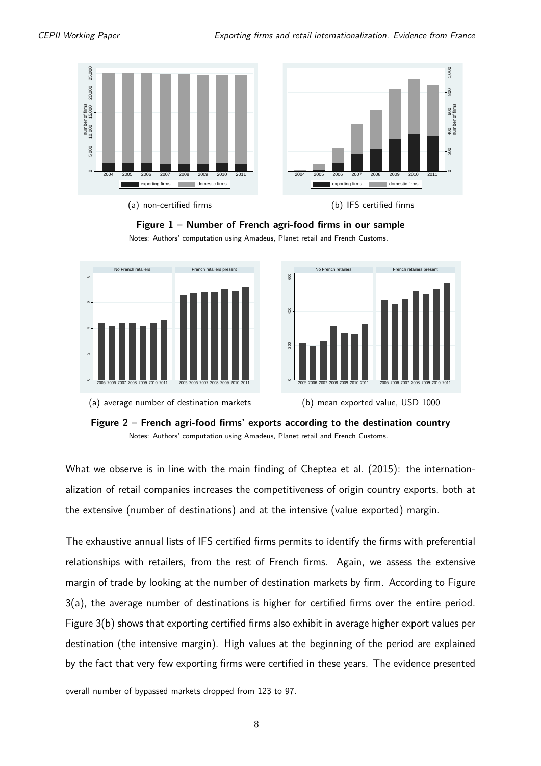<span id="page-7-0"></span>

#### **Figure 1 – Number of French agri-food firms in our sample**

Notes: Authors' computation using Amadeus, Planet retail and French Customs.

<span id="page-7-2"></span><span id="page-7-1"></span>







What we observe is in line with the main finding of [Cheptea et al.](#page-25-0) [\(2015\)](#page-25-0): the internationalization of retail companies increases the competitiveness of origin country exports, both at the extensive (number of destinations) and at the intensive (value exported) margin.

The exhaustive annual lists of IFS certified firms permits to identify the firms with preferential relationships with retailers, from the rest of French firms. Again, we assess the extensive margin of trade by looking at the number of destination markets by firm. According to Figure [3\(a\),](#page-8-0) the average number of destinations is higher for certified firms over the entire period. Figure [3\(b\)](#page-8-1) shows that exporting certified firms also exhibit in average higher export values per destination (the intensive margin). High values at the beginning of the period are explained by the fact that very few exporting firms were certified in these years. The evidence presented

overall number of bypassed markets dropped from 123 to 97.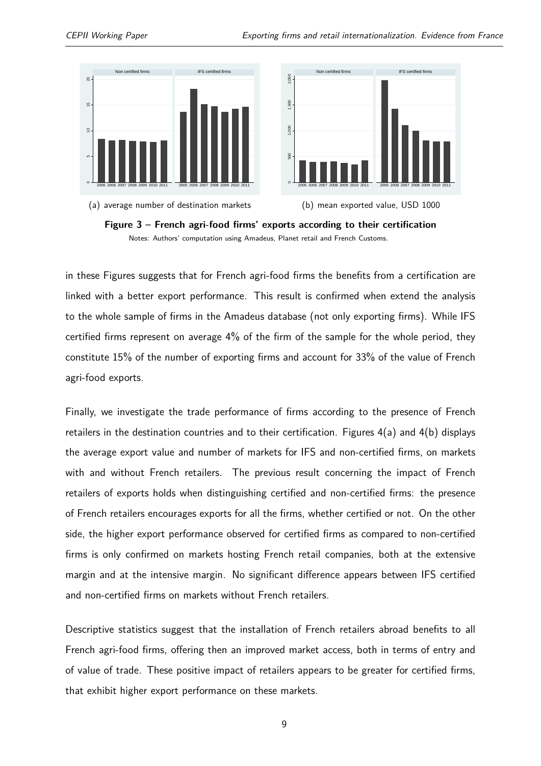<span id="page-8-0"></span>



<span id="page-8-1"></span>



in these Figures suggests that for French agri-food firms the benefits from a certification are linked with a better export performance. This result is confirmed when extend the analysis to the whole sample of firms in the Amadeus database (not only exporting firms). While IFS certified firms represent on average 4% of the firm of the sample for the whole period, they constitute 15% of the number of exporting firms and account for 33% of the value of French agri-food exports.

Finally, we investigate the trade performance of firms according to the presence of French retailers in the destination countries and to their certification. Figures [4\(a\)](#page-9-1) and [4\(b\)](#page-9-2) displays the average export value and number of markets for IFS and non-certified firms, on markets with and without French retailers. The previous result concerning the impact of French retailers of exports holds when distinguishing certified and non-certified firms: the presence of French retailers encourages exports for all the firms, whether certified or not. On the other side, the higher export performance observed for certified firms as compared to non-certified firms is only confirmed on markets hosting French retail companies, both at the extensive margin and at the intensive margin. No significant difference appears between IFS certified and non-certified firms on markets without French retailers.

Descriptive statistics suggest that the installation of French retailers abroad benefits to all French agri-food firms, offering then an improved market access, both in terms of entry and of value of trade. These positive impact of retailers appears to be greater for certified firms, that exhibit higher export performance on these markets.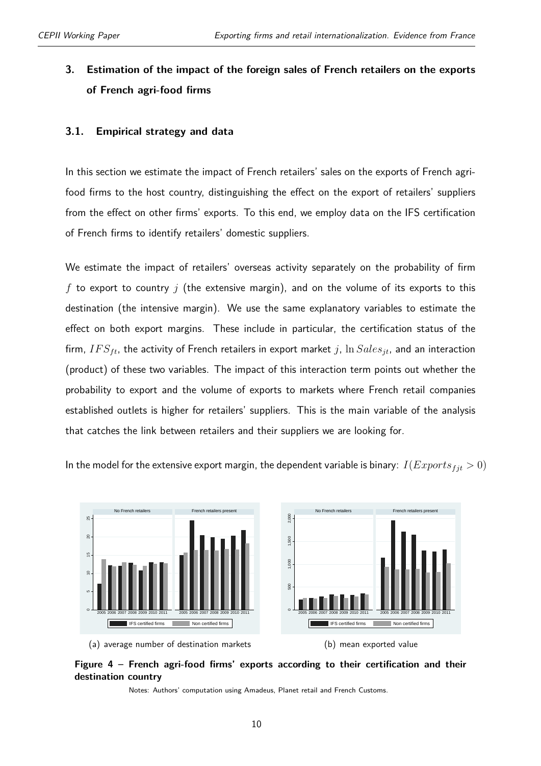### <span id="page-9-0"></span>**3. Estimation of the impact of the foreign sales of French retailers on the exports of French agri-food firms**

#### **3.1. Empirical strategy and data**

In this section we estimate the impact of French retailers' sales on the exports of French agrifood firms to the host country, distinguishing the effect on the export of retailers' suppliers from the effect on other firms' exports. To this end, we employ data on the IFS certification of French firms to identify retailers' domestic suppliers.

We estimate the impact of retailers' overseas activity separately on the probability of firm *f* to export to country *j* (the extensive margin), and on the volume of its exports to this destination (the intensive margin). We use the same explanatory variables to estimate the effect on both export margins. These include in particular, the certification status of the firm,  $IFS_{ft}$ , the activity of French retailers in export market *j*,  $\ln Sales_{jt}$ , and an interaction (product) of these two variables. The impact of this interaction term points out whether the probability to export and the volume of exports to markets where French retail companies established outlets is higher for retailers' suppliers. This is the main variable of the analysis that catches the link between retailers and their suppliers we are looking for.

In the model for the extensive export margin, the dependent variable is binary:  $I(Express_{fit} > 0)$ 

<span id="page-9-1"></span>

<span id="page-9-2"></span>(b) mean exported value



Notes: Authors' computation using Amadeus, Planet retail and French Customs.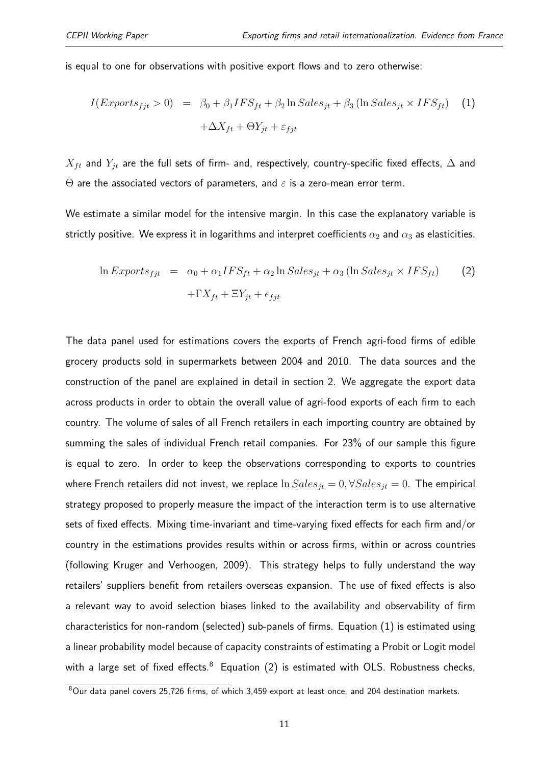is equal to one for observations with positive export flows and to zero otherwise:

<span id="page-10-0"></span>
$$
I(Express_{fit} > 0) = \beta_0 + \beta_1 IFS_{ft} + \beta_2 \ln Sales_{jt} + \beta_3 (\ln Sales_{jt} \times IFS_{ft}) \quad (1)
$$

$$
+ \Delta X_{ft} + \Theta Y_{jt} + \varepsilon_{fjt}
$$

 $X_{ft}$  and  $Y_{jt}$  are the full sets of firm- and, respectively, country-specific fixed effects,  $\Delta$  and Θ are the associated vectors of parameters, and *ε* is a zero-mean error term.

We estimate a similar model for the intensive margin. In this case the explanatory variable is strictly positive. We express it in logarithms and interpret coefficients  $\alpha_2$  and  $\alpha_3$  as elasticities.

<span id="page-10-1"></span>
$$
\ln Exports_{fit} = \alpha_0 + \alpha_1 IFS_{ft} + \alpha_2 \ln Sales_{jt} + \alpha_3 (\ln Sales_{jt} \times IFS_{ft})
$$
 (2)  
+
$$
\Gamma X_{ft} + \Xi Y_{jt} + \epsilon_{fjt}
$$

The data panel used for estimations covers the exports of French agri-food firms of edible grocery products sold in supermarkets between 2004 and 2010. The data sources and the construction of the panel are explained in detail in section [2.](#page-4-0) We aggregate the export data across products in order to obtain the overall value of agri-food exports of each firm to each country. The volume of sales of all French retailers in each importing country are obtained by summing the sales of individual French retail companies. For 23% of our sample this figure is equal to zero. In order to keep the observations corresponding to exports to countries where French retailers did not invest, we replace  $\ln Sales_{it} = 0, \forall Sales_{it} = 0$ . The empirical strategy proposed to properly measure the impact of the interaction term is to use alternative sets of fixed effects. Mixing time-invariant and time-varying fixed effects for each firm and/or country in the estimations provides results within or across firms, within or across countries (following Kruger and Verhoogen, 2009). This strategy helps to fully understand the way retailers' suppliers benefit from retailers overseas expansion. The use of fixed effects is also a relevant way to avoid selection biases linked to the availability and observability of firm characteristics for non-random (selected) sub-panels of firms. Equation [\(1\)](#page-10-0) is estimated using a linear probability model because of capacity constraints of estimating a Probit or Logit model with a large set of fixed effects. $8$  Equation [\(2\)](#page-10-1) is estimated with OLS. Robustness checks,

<sup>8</sup>Our data panel covers 25,726 firms, of which 3,459 export at least once, and 204 destination markets.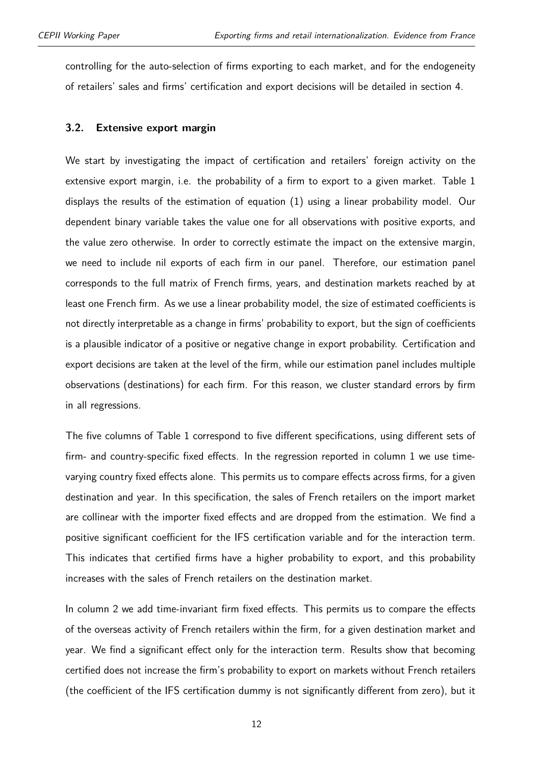controlling for the auto-selection of firms exporting to each market, and for the endogeneity of retailers' sales and firms' certification and export decisions will be detailed in section [4.](#page-18-0)

#### <span id="page-11-0"></span>**3.2. Extensive export margin**

We start by investigating the impact of certification and retailers' foreign activity on the extensive export margin, i.e. the probability of a firm to export to a given market. Table [1](#page-13-1) displays the results of the estimation of equation [\(1\)](#page-10-0) using a linear probability model. Our dependent binary variable takes the value one for all observations with positive exports, and the value zero otherwise. In order to correctly estimate the impact on the extensive margin, we need to include nil exports of each firm in our panel. Therefore, our estimation panel corresponds to the full matrix of French firms, years, and destination markets reached by at least one French firm. As we use a linear probability model, the size of estimated coefficients is not directly interpretable as a change in firms' probability to export, but the sign of coefficients is a plausible indicator of a positive or negative change in export probability. Certification and export decisions are taken at the level of the firm, while our estimation panel includes multiple observations (destinations) for each firm. For this reason, we cluster standard errors by firm in all regressions.

The five columns of Table [1](#page-13-1) correspond to five different specifications, using different sets of firm- and country-specific fixed effects. In the regression reported in column 1 we use timevarying country fixed effects alone. This permits us to compare effects across firms, for a given destination and year. In this specification, the sales of French retailers on the import market are collinear with the importer fixed effects and are dropped from the estimation. We find a positive significant coefficient for the IFS certification variable and for the interaction term. This indicates that certified firms have a higher probability to export, and this probability increases with the sales of French retailers on the destination market.

In column 2 we add time-invariant firm fixed effects. This permits us to compare the effects of the overseas activity of French retailers within the firm, for a given destination market and year. We find a significant effect only for the interaction term. Results show that becoming certified does not increase the firm's probability to export on markets without French retailers (the coefficient of the IFS certification dummy is not significantly different from zero), but it

12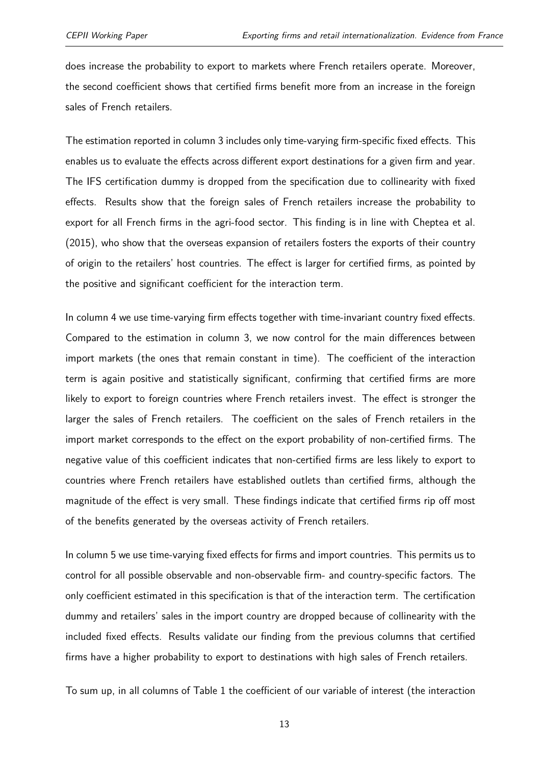does increase the probability to export to markets where French retailers operate. Moreover, the second coefficient shows that certified firms benefit more from an increase in the foreign sales of French retailers.

The estimation reported in column 3 includes only time-varying firm-specific fixed effects. This enables us to evaluate the effects across different export destinations for a given firm and year. The IFS certification dummy is dropped from the specification due to collinearity with fixed effects. Results show that the foreign sales of French retailers increase the probability to export for all French firms in the agri-food sector. This finding is in line with [Cheptea et al.](#page-25-0) [\(2015\)](#page-25-0), who show that the overseas expansion of retailers fosters the exports of their country of origin to the retailers' host countries. The effect is larger for certified firms, as pointed by the positive and significant coefficient for the interaction term.

In column 4 we use time-varying firm effects together with time-invariant country fixed effects. Compared to the estimation in column 3, we now control for the main differences between import markets (the ones that remain constant in time). The coefficient of the interaction term is again positive and statistically significant, confirming that certified firms are more likely to export to foreign countries where French retailers invest. The effect is stronger the larger the sales of French retailers. The coefficient on the sales of French retailers in the import market corresponds to the effect on the export probability of non-certified firms. The negative value of this coefficient indicates that non-certified firms are less likely to export to countries where French retailers have established outlets than certified firms, although the magnitude of the effect is very small. These findings indicate that certified firms rip off most of the benefits generated by the overseas activity of French retailers.

In column 5 we use time-varying fixed effects for firms and import countries. This permits us to control for all possible observable and non-observable firm- and country-specific factors. The only coefficient estimated in this specification is that of the interaction term. The certification dummy and retailers' sales in the import country are dropped because of collinearity with the included fixed effects. Results validate our finding from the previous columns that certified firms have a higher probability to export to destinations with high sales of French retailers.

To sum up, in all columns of Table [1](#page-13-1) the coefficient of our variable of interest (the interaction

13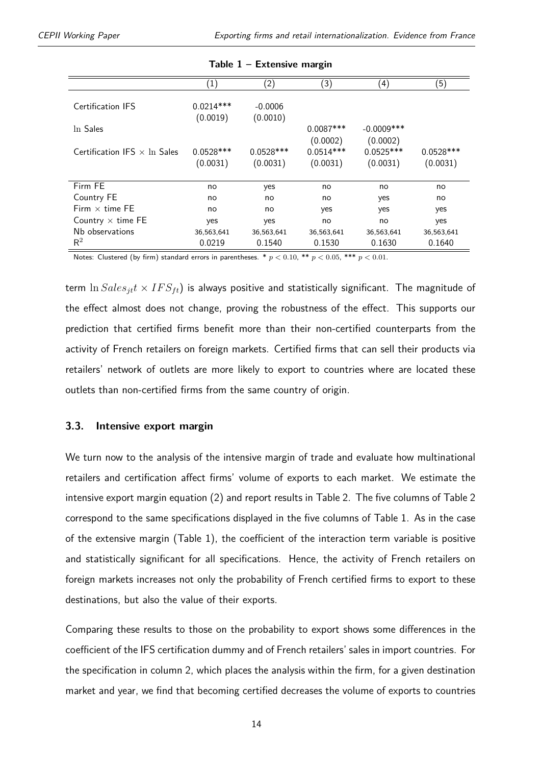<span id="page-13-1"></span>

|                                     | $\left( 1\right)$ | (2)         | (3)         | (4)           | $\left( 5\right)$ |
|-------------------------------------|-------------------|-------------|-------------|---------------|-------------------|
|                                     |                   |             |             |               |                   |
| Certification IFS                   | $0.0214***$       | $-0.0006$   |             |               |                   |
|                                     | (0.0019)          | (0.0010)    |             |               |                   |
| In Sales                            |                   |             | $0.0087***$ | $-0.0009$ *** |                   |
|                                     |                   |             | (0.0002)    | (0.0002)      |                   |
| Certification IFS $\times$ In Sales | $0.0528***$       | $0.0528***$ | $0.0514***$ | $0.0525***$   | $0.0528***$       |
|                                     | (0.0031)          | (0.0031)    | (0.0031)    | (0.0031)      | (0.0031)          |
|                                     |                   |             |             |               |                   |
| Firm FE                             | no                | yes         | no          | no            | no                |
| Country FE                          | no                | no          | no          | yes           | no                |
| Firm $\times$ time FE               | no                | no          | yes         | yes           | yes               |
| Country $\times$ time FE            | yes               | yes         | no          | no            | yes               |
| Nb observations                     | 36,563,641        | 36,563,641  | 36,563,641  | 36,563,641    | 36,563,641        |
| $\mathsf{R}^2$                      | 0.0219            | 0.1540      | 0.1530      | 0.1630        | 0.1640            |

**Table 1 – Extensive margin**

Notes: Clustered (by firm) standard errors in parentheses. \* *p <* 0*.*10, \*\* *p <* 0*.*05, \*\*\* *p <* 0*.*01.

term  $\ln Sales_{it}t \times IFS_{ft}$ ) is always positive and statistically significant. The magnitude of the effect almost does not change, proving the robustness of the effect. This supports our prediction that certified firms benefit more than their non-certified counterparts from the activity of French retailers on foreign markets. Certified firms that can sell their products via retailers' network of outlets are more likely to export to countries where are located these outlets than non-certified firms from the same country of origin.

#### <span id="page-13-0"></span>**3.3. Intensive export margin**

We turn now to the analysis of the intensive margin of trade and evaluate how multinational retailers and certification affect firms' volume of exports to each market. We estimate the intensive export margin equation [\(2\)](#page-10-1) and report results in Table [2.](#page-14-0) The five columns of Table [2](#page-14-0) correspond to the same specifications displayed in the five columns of Table [1.](#page-13-1) As in the case of the extensive margin (Table [1\)](#page-13-1), the coefficient of the interaction term variable is positive and statistically significant for all specifications. Hence, the activity of French retailers on foreign markets increases not only the probability of French certified firms to export to these destinations, but also the value of their exports.

Comparing these results to those on the probability to export shows some differences in the coefficient of the IFS certification dummy and of French retailers' sales in import countries. For the specification in column 2, which places the analysis within the firm, for a given destination market and year, we find that becoming certified decreases the volume of exports to countries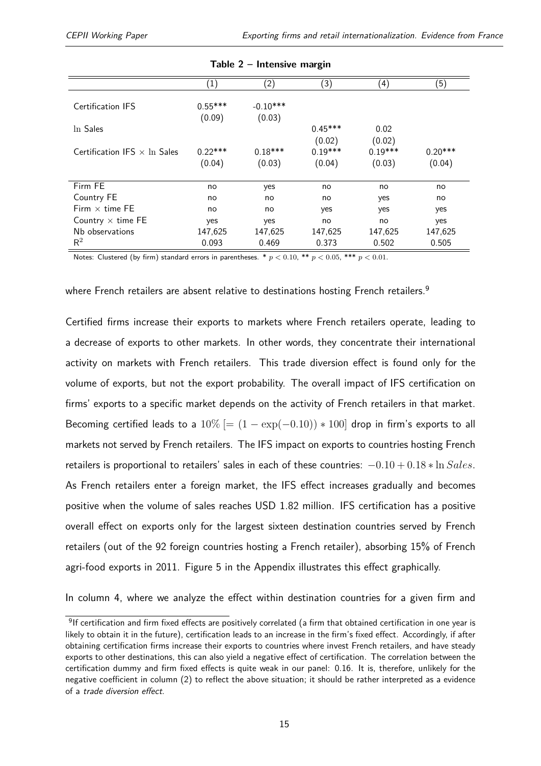<span id="page-14-0"></span>

|                                     | $\left( 1\right)$ | $\left( 2\right)$ | (3)       | (4)       | (5)       |
|-------------------------------------|-------------------|-------------------|-----------|-----------|-----------|
|                                     |                   |                   |           |           |           |
| Certification IFS                   | $0.55***$         | $-0.10***$        |           |           |           |
|                                     | (0.09)            | (0.03)            |           |           |           |
| In Sales                            |                   |                   | $0.45***$ | 0.02      |           |
|                                     |                   |                   | (0.02)    | (0.02)    |           |
| Certification IFS $\times$ In Sales | $0.22***$         | $0.18***$         | $0.19***$ | $0.19***$ | $0.20***$ |
|                                     | (0.04)            | (0.03)            | (0.04)    | (0.03)    | (0.04)    |
|                                     |                   |                   |           |           |           |
|                                     |                   |                   |           |           |           |
| Firm FE                             | no                | yes               | no        | no        | no        |
| Country FE                          | no                | no                | no        | yes       | no        |
| Firm $\times$ time FE               | no                | no                | yes       | yes       | yes       |
| Country $\times$ time FE            | yes               | yes               | no        | no        | yes       |
| Nb observations                     | 147,625           | 147,625           | 147,625   | 147,625   | 147,625   |
| $\mathsf{R}^2$                      | 0.093             | 0.469             | 0.373     | 0.502     | 0.505     |

|  | Table 2 - Intensive margin |  |
|--|----------------------------|--|

Notes: Clustered (by firm) standard errors in parentheses.  $*$   $p < 0.10$ ,  $**$   $p < 0.05$ ,  $***$   $p < 0.01$ .

where French retailers are absent relative to destinations hosting French retailers.<sup>[9](#page-2-0)</sup>

Certified firms increase their exports to markets where French retailers operate, leading to a decrease of exports to other markets. In other words, they concentrate their international activity on markets with French retailers. This trade diversion effect is found only for the volume of exports, but not the export probability. The overall impact of IFS certification on firms' exports to a specific market depends on the activity of French retailers in that market. Becoming certified leads to a  $10\%$  [=  $(1 - \exp(-0.10)) * 100$ ] drop in firm's exports to all markets not served by French retailers. The IFS impact on exports to countries hosting French retailers is proportional to retailers' sales in each of these countries: −0*.*10 + 0*.*18 ∗ ln *Sales*. As French retailers enter a foreign market, the IFS effect increases gradually and becomes positive when the volume of sales reaches USD 1.82 million. IFS certification has a positive overall effect on exports only for the largest sixteen destination countries served by French retailers (out of the 92 foreign countries hosting a French retailer), absorbing 15% of French agri-food exports in 2011. Figure [5](#page-27-0) in the Appendix illustrates this effect graphically.

In column 4, where we analyze the effect within destination countries for a given firm and

<sup>&</sup>lt;sup>9</sup>If certification and firm fixed effects are positively correlated (a firm that obtained certification in one year is likely to obtain it in the future), certification leads to an increase in the firm's fixed effect. Accordingly, if after obtaining certification firms increase their exports to countries where invest French retailers, and have steady exports to other destinations, this can also yield a negative effect of certification. The correlation between the certification dummy and firm fixed effects is quite weak in our panel: 0.16. It is, therefore, unlikely for the negative coefficient in column (2) to reflect the above situation; it should be rather interpreted as a evidence of a trade diversion effect.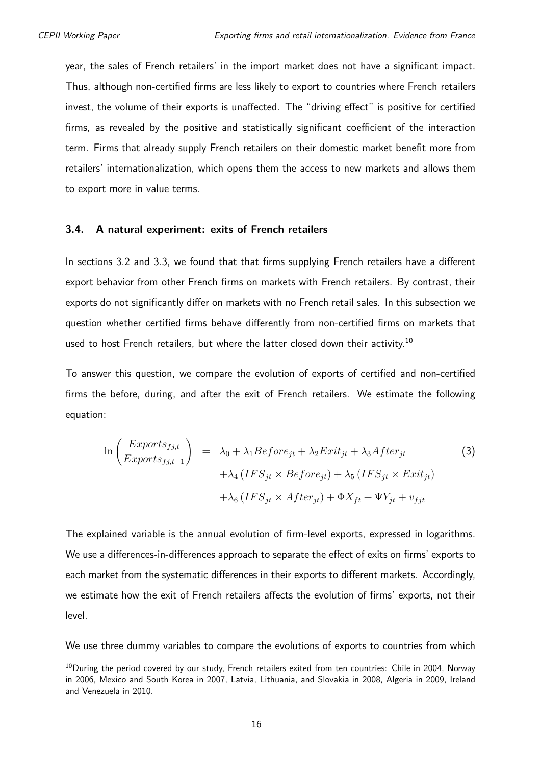year, the sales of French retailers' in the import market does not have a significant impact. Thus, although non-certified firms are less likely to export to countries where French retailers invest, the volume of their exports is unaffected. The "driving effect" is positive for certified firms, as revealed by the positive and statistically significant coefficient of the interaction term. Firms that already supply French retailers on their domestic market benefit more from retailers' internationalization, which opens them the access to new markets and allows them to export more in value terms.

#### <span id="page-15-0"></span>**3.4. A natural experiment: exits of French retailers**

In sections [3.2](#page-11-0) and [3.3,](#page-13-0) we found that that firms supplying French retailers have a different export behavior from other French firms on markets with French retailers. By contrast, their exports do not significantly differ on markets with no French retail sales. In this subsection we question whether certified firms behave differently from non-certified firms on markets that used to host French retailers, but where the latter closed down their activity.<sup>[10](#page-2-0)</sup>

To answer this question, we compare the evolution of exports of certified and non-certified firms the before, during, and after the exit of French retailers. We estimate the following equation:

<span id="page-15-1"></span>
$$
\ln\left(\frac{Exports_{fj,t}}{Exports_{fj,t-1}}\right) = \lambda_0 + \lambda_1 Before_{jt} + \lambda_2Exit_{jt} + \lambda_3 After_{jt} + \lambda_4 (IFS_{jt} \times Before_{jt}) + \lambda_5 (IFS_{jt} \timesExit_{jt}) + \lambda_6 (IFS_{jt} \times After_{jt}) + \Phi X_{ft} + \Psi Y_{jt} + v_{fjt}
$$
\n(3)

The explained variable is the annual evolution of firm-level exports, expressed in logarithms. We use a differences-in-differences approach to separate the effect of exits on firms' exports to each market from the systematic differences in their exports to different markets. Accordingly, we estimate how the exit of French retailers affects the evolution of firms' exports, not their level.

We use three dummy variables to compare the evolutions of exports to countries from which

<sup>&</sup>lt;sup>10</sup>During the period covered by our study, French retailers exited from ten countries: Chile in 2004, Norway in 2006, Mexico and South Korea in 2007, Latvia, Lithuania, and Slovakia in 2008, Algeria in 2009, Ireland and Venezuela in 2010.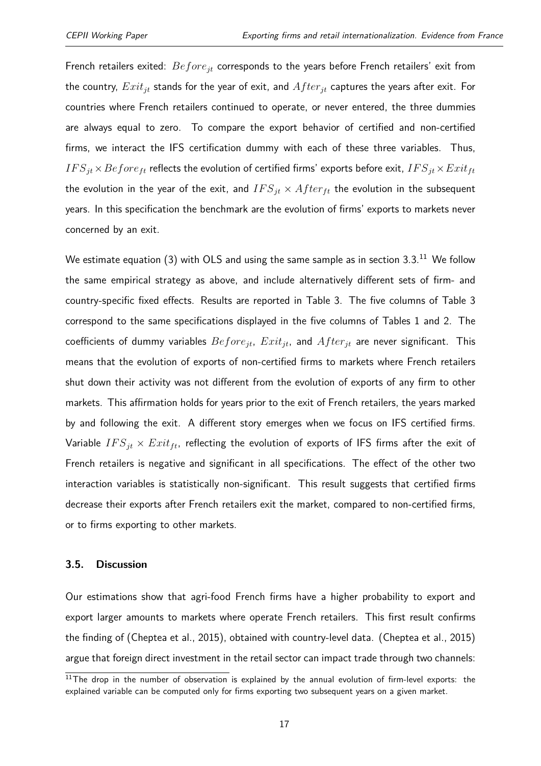French retailers exited: *Beforejt* corresponds to the years before French retailers' exit from the country, *Exitjt* stands for the year of exit, and *Af terjt* captures the years after exit. For countries where French retailers continued to operate, or never entered, the three dummies are always equal to zero. To compare the export behavior of certified and non-certified firms, we interact the IFS certification dummy with each of these three variables. Thus,  $IFS_{jt}\times Before_{ft}$  reflects the evolution of certified firms' exports before exit,  $IFS_{jt}\times Ext_{ft}$ the evolution in the year of the exit, and  $IFS_{jt} \times After_{ft}$  the evolution in the subsequent years. In this specification the benchmark are the evolution of firms' exports to markets never concerned by an exit.

We estimate equation [\(3\)](#page-15-1) with OLS and using the same sample as in section [3.3.](#page-13-0) $^{\rm 11}$  $^{\rm 11}$  $^{\rm 11}$  We follow the same empirical strategy as above, and include alternatively different sets of firm- and country-specific fixed effects. Results are reported in Table [3.](#page-17-0) The five columns of Table [3](#page-17-0) correspond to the same specifications displayed in the five columns of Tables [1](#page-13-1) and [2.](#page-14-0) The coefficients of dummy variables *Beforejt*, *Exitjt*, and *Af terjt* are never significant. This means that the evolution of exports of non-certified firms to markets where French retailers shut down their activity was not different from the evolution of exports of any firm to other markets. This affirmation holds for years prior to the exit of French retailers, the years marked by and following the exit. A different story emerges when we focus on IFS certified firms. Variable  $IFS_{it} \times Ext_{ft}$ , reflecting the evolution of exports of IFS firms after the exit of French retailers is negative and significant in all specifications. The effect of the other two interaction variables is statistically non-significant. This result suggests that certified firms decrease their exports after French retailers exit the market, compared to non-certified firms, or to firms exporting to other markets.

#### **3.5. Discussion**

Our estimations show that agri-food French firms have a higher probability to export and export larger amounts to markets where operate French retailers. This first result confirms the finding of [\(Cheptea et al.,](#page-25-0) [2015\)](#page-25-0), obtained with country-level data. [\(Cheptea et al.,](#page-25-0) [2015\)](#page-25-0) argue that foreign direct investment in the retail sector can impact trade through two channels:

 $11$ The drop in the number of observation is explained by the annual evolution of firm-level exports: the explained variable can be computed only for firms exporting two subsequent years on a given market.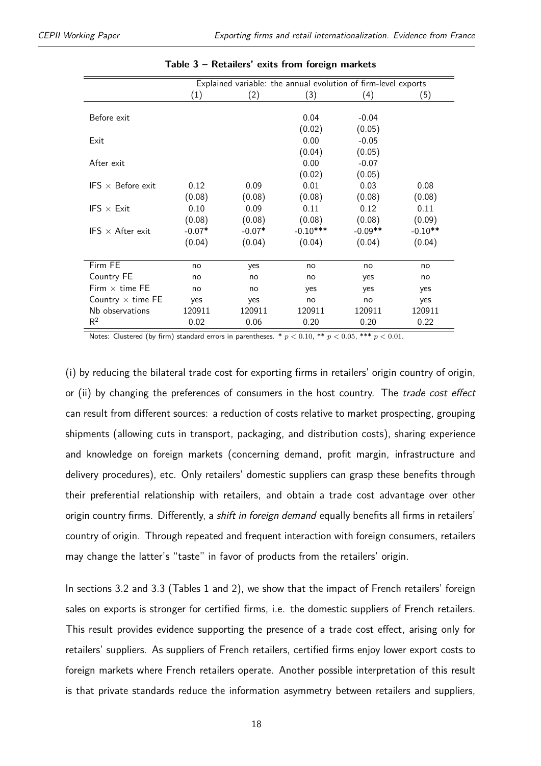<span id="page-17-0"></span>

|                          | Explained variable: the annual evolution of firm-level exports |          |            |           |           |  |  |
|--------------------------|----------------------------------------------------------------|----------|------------|-----------|-----------|--|--|
|                          | $\left( 1\right)$                                              | (2)      | (3)        | (4)       | (5)       |  |  |
|                          |                                                                |          |            |           |           |  |  |
| Before exit              |                                                                |          | 0.04       | $-0.04$   |           |  |  |
|                          |                                                                |          | (0.02)     | (0.05)    |           |  |  |
| Exit                     |                                                                |          | 0.00       | $-0.05$   |           |  |  |
|                          |                                                                |          | (0.04)     | (0.05)    |           |  |  |
| After exit               |                                                                |          | 0.00       | $-0.07$   |           |  |  |
|                          |                                                                |          | (0.02)     | (0.05)    |           |  |  |
| IFS $\times$ Before exit | 0.12                                                           | 0.09     | 0.01       | 0.03      | 0.08      |  |  |
|                          | (0.08)                                                         | (0.08)   | (0.08)     | (0.08)    | (0.08)    |  |  |
| IFS $\times$ Exit        | 0.10                                                           | 0.09     | 0.11       | 0.12      | 0.11      |  |  |
|                          | (0.08)                                                         | (0.08)   | (0.08)     | (0.08)    | (0.09)    |  |  |
| IFS $\times$ After exit  | $-0.07*$                                                       | $-0.07*$ | $-0.10***$ | $-0.09**$ | $-0.10**$ |  |  |
|                          | (0.04)                                                         | (0.04)   | (0.04)     | (0.04)    | (0.04)    |  |  |
|                          |                                                                |          |            |           |           |  |  |
| Firm FE                  | no                                                             | yes      | no         | no        | no        |  |  |
| Country FE               | no                                                             | no       | no         | yes       | no        |  |  |
| Firm $\times$ time FE    | no                                                             | no       | yes        | yes       | yes       |  |  |
| Country $\times$ time FE | yes                                                            | yes      | no         | no        | yes       |  |  |
| Nb observations          | 120911                                                         | 120911   | 120911     | 120911    | 120911    |  |  |
| $R^2$                    | 0.02                                                           | 0.06     | 0.20       | 0.20      | 0.22      |  |  |

| Table 3 - Retailers' exits from foreign markets |  |  |  |
|-------------------------------------------------|--|--|--|
|-------------------------------------------------|--|--|--|

Notes: Clustered (by firm) standard errors in parentheses.  $* p < 0.10$ ,  $** p < 0.05$ ,  $*** p < 0.01$ .

(i) by reducing the bilateral trade cost for exporting firms in retailers' origin country of origin, or (ii) by changing the preferences of consumers in the host country. The trade cost effect can result from different sources: a reduction of costs relative to market prospecting, grouping shipments (allowing cuts in transport, packaging, and distribution costs), sharing experience and knowledge on foreign markets (concerning demand, profit margin, infrastructure and delivery procedures), etc. Only retailers' domestic suppliers can grasp these benefits through their preferential relationship with retailers, and obtain a trade cost advantage over other origin country firms. Differently, a shift in foreign demand equally benefits all firms in retailers' country of origin. Through repeated and frequent interaction with foreign consumers, retailers may change the latter's "taste" in favor of products from the retailers' origin.

In sections [3.2](#page-11-0) and [3.3](#page-13-0) (Tables [1](#page-13-1) and [2\)](#page-14-0), we show that the impact of French retailers' foreign sales on exports is stronger for certified firms, i.e. the domestic suppliers of French retailers. This result provides evidence supporting the presence of a trade cost effect, arising only for retailers' suppliers. As suppliers of French retailers, certified firms enjoy lower export costs to foreign markets where French retailers operate. Another possible interpretation of this result is that private standards reduce the information asymmetry between retailers and suppliers,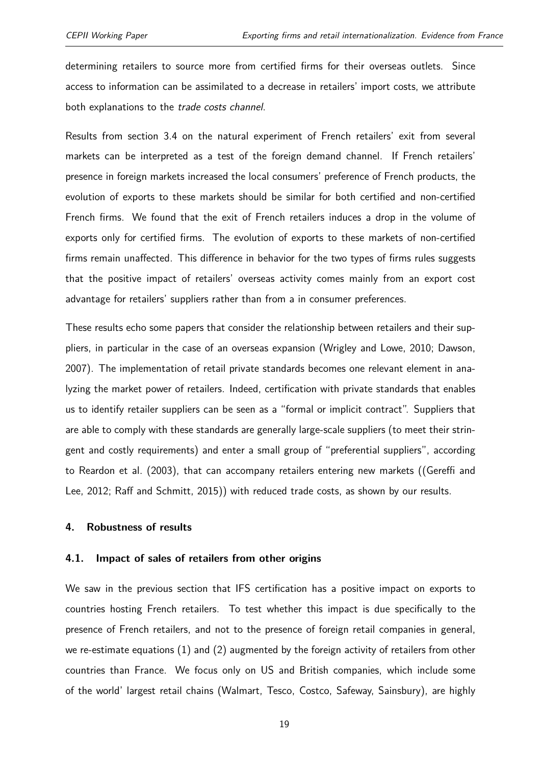determining retailers to source more from certified firms for their overseas outlets. Since access to information can be assimilated to a decrease in retailers' import costs, we attribute both explanations to the trade costs channel.

Results from section [3.4](#page-15-0) on the natural experiment of French retailers' exit from several markets can be interpreted as a test of the foreign demand channel. If French retailers' presence in foreign markets increased the local consumers' preference of French products, the evolution of exports to these markets should be similar for both certified and non-certified French firms. We found that the exit of French retailers induces a drop in the volume of exports only for certified firms. The evolution of exports to these markets of non-certified firms remain unaffected. This difference in behavior for the two types of firms rules suggests that the positive impact of retailers' overseas activity comes mainly from an export cost advantage for retailers' suppliers rather than from a in consumer preferences.

These results echo some papers that consider the relationship between retailers and their suppliers, in particular in the case of an overseas expansion [\(Wrigley and Lowe,](#page-26-3) [2010;](#page-26-3) [Dawson,](#page-25-1) [2007\)](#page-25-1). The implementation of retail private standards becomes one relevant element in analyzing the market power of retailers. Indeed, certification with private standards that enables us to identify retailer suppliers can be seen as a "formal or implicit contract". Suppliers that are able to comply with these standards are generally large-scale suppliers (to meet their stringent and costly requirements) and enter a small group of "preferential suppliers", according to [Reardon et al.](#page-26-4) [\(2003\)](#page-26-4), that can accompany retailers entering new markets ([\(Gereffi and](#page-25-2) [Lee,](#page-25-2) [2012;](#page-25-2) [Raff and Schmitt,](#page-26-5) [2015\)](#page-26-5)) with reduced trade costs, as shown by our results.

#### <span id="page-18-0"></span>**4. Robustness of results**

#### **4.1. Impact of sales of retailers from other origins**

We saw in the previous section that IFS certification has a positive impact on exports to countries hosting French retailers. To test whether this impact is due specifically to the presence of French retailers, and not to the presence of foreign retail companies in general, we re-estimate equations [\(1\)](#page-10-0) and [\(2\)](#page-10-1) augmented by the foreign activity of retailers from other countries than France. We focus only on US and British companies, which include some of the world' largest retail chains (Walmart, Tesco, Costco, Safeway, Sainsbury), are highly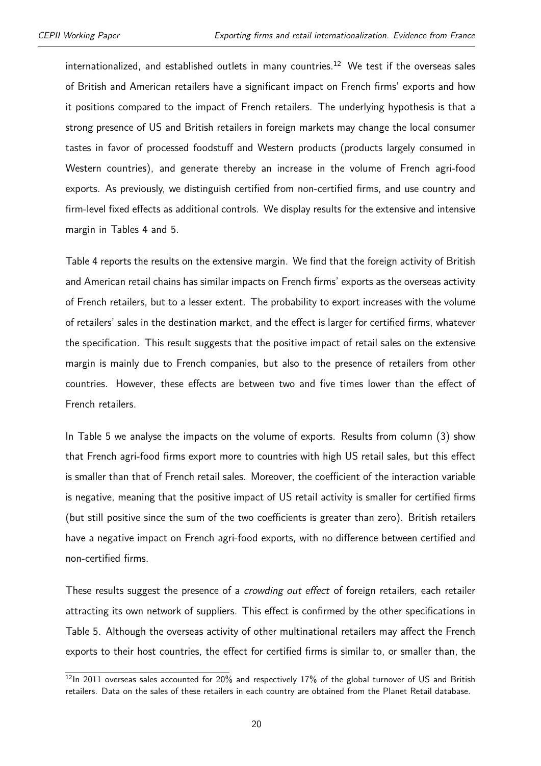internationalized, and established outlets in many countries.<sup>[12](#page-2-0)</sup> We test if the overseas sales of British and American retailers have a significant impact on French firms' exports and how it positions compared to the impact of French retailers. The underlying hypothesis is that a strong presence of US and British retailers in foreign markets may change the local consumer tastes in favor of processed foodstuff and Western products (products largely consumed in Western countries), and generate thereby an increase in the volume of French agri-food exports. As previously, we distinguish certified from non-certified firms, and use country and firm-level fixed effects as additional controls. We display results for the extensive and intensive margin in Tables [4](#page-20-0) and [5.](#page-21-0)

Table [4](#page-20-0) reports the results on the extensive margin. We find that the foreign activity of British and American retail chains has similar impacts on French firms' exports as the overseas activity of French retailers, but to a lesser extent. The probability to export increases with the volume of retailers' sales in the destination market, and the effect is larger for certified firms, whatever the specification. This result suggests that the positive impact of retail sales on the extensive margin is mainly due to French companies, but also to the presence of retailers from other countries. However, these effects are between two and five times lower than the effect of French retailers.

In Table [5](#page-21-0) we analyse the impacts on the volume of exports. Results from column (3) show that French agri-food firms export more to countries with high US retail sales, but this effect is smaller than that of French retail sales. Moreover, the coefficient of the interaction variable is negative, meaning that the positive impact of US retail activity is smaller for certified firms (but still positive since the sum of the two coefficients is greater than zero). British retailers have a negative impact on French agri-food exports, with no difference between certified and non-certified firms.

These results suggest the presence of a *crowding out effect* of foreign retailers, each retailer attracting its own network of suppliers. This effect is confirmed by the other specifications in Table [5.](#page-21-0) Although the overseas activity of other multinational retailers may affect the French exports to their host countries, the effect for certified firms is similar to, or smaller than, the

<sup>&</sup>lt;sup>12</sup>In 2011 overseas sales accounted for 20% and respectively 17% of the global turnover of US and British retailers. Data on the sales of these retailers in each country are obtained from the Planet Retail database.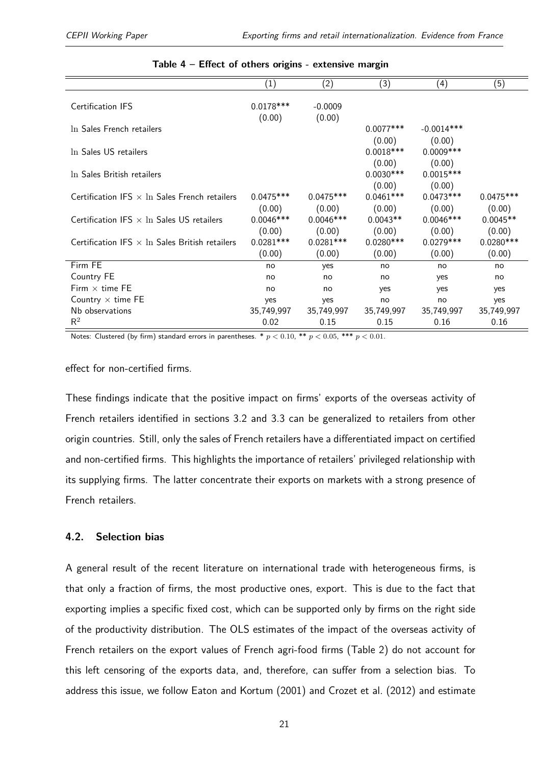<span id="page-20-0"></span>

|                                                       | (1)                             | (2)                             | (3)                             | (4)                             | (5)                             |
|-------------------------------------------------------|---------------------------------|---------------------------------|---------------------------------|---------------------------------|---------------------------------|
| <b>Certification IFS</b>                              | $0.0178***$<br>(0.00)           | $-0.0009$<br>(0.00)             |                                 |                                 |                                 |
| In Sales French retailers                             |                                 |                                 | $0.0077***$                     | $-0.0014***$                    |                                 |
| In Sales US retailers                                 |                                 |                                 | (0.00)<br>$0.0018***$           | (0.00)<br>$0.0009***$           |                                 |
| In Sales British retailers                            |                                 |                                 | (0.00)<br>$0.0030***$           | (0.00)<br>$0.0015***$           |                                 |
| Certification IFS $\times$ In Sales French retailers  | $0.0475***$                     | $0.0475***$                     | (0.00)<br>$0.0461***$           | (0.00)<br>$0.0473***$           | $0.0475***$                     |
| Certification IFS $\times$ In Sales US retailers      | (0.00)<br>$0.0046***$           | (0.00)<br>$0.0046***$           | (0.00)<br>$0.0043**$            | (0.00)<br>$0.0046***$           | (0.00)<br>$0.0045**$            |
| Certification IFS $\times$ In Sales British retailers | (0.00)<br>$0.0281***$<br>(0.00) | (0.00)<br>$0.0281***$<br>(0.00) | (0.00)<br>$0.0280***$<br>(0.00) | (0.00)<br>$0.0279***$<br>(0.00) | (0.00)<br>$0.0280***$<br>(0.00) |
| Firm FE                                               | no                              | yes                             | no                              | no                              | no                              |
| Country FE                                            | no                              | no                              | no                              | yes                             | no                              |
| Firm $\times$ time FE                                 | no                              | no                              | yes                             | ves                             | yes                             |
| Country $\times$ time FE                              | yes                             | yes                             | no                              | no                              | yes                             |
| Nb observations                                       | 35,749,997                      | 35,749,997                      | 35,749,997                      | 35,749,997                      | 35,749,997                      |
| $R^2$                                                 | 0.02                            | 0.15                            | 0.15                            | 0.16                            | 0.16                            |

#### **Table 4 – Effect of others origins - extensive margin**

Notes: Clustered (by firm) standard errors in parentheses. \*  $p < 0.10$ , \*\*  $p < 0.05$ , \*\*\*  $p < 0.01$ .

effect for non-certified firms.

These findings indicate that the positive impact on firms' exports of the overseas activity of French retailers identified in sections [3.2](#page-11-0) and [3.3](#page-13-0) can be generalized to retailers from other origin countries. Still, only the sales of French retailers have a differentiated impact on certified and non-certified firms. This highlights the importance of retailers' privileged relationship with its supplying firms. The latter concentrate their exports on markets with a strong presence of French retailers.

#### **4.2. Selection bias**

A general result of the recent literature on international trade with heterogeneous firms, is that only a fraction of firms, the most productive ones, export. This is due to the fact that exporting implies a specific fixed cost, which can be supported only by firms on the right side of the productivity distribution. The OLS estimates of the impact of the overseas activity of French retailers on the export values of French agri-food firms (Table [2\)](#page-14-0) do not account for this left censoring of the exports data, and, therefore, can suffer from a selection bias. To address this issue, we follow [Eaton and Kortum](#page-25-3) [\(2001\)](#page-25-3) and [Crozet et al.](#page-25-4) [\(2012\)](#page-25-4) and estimate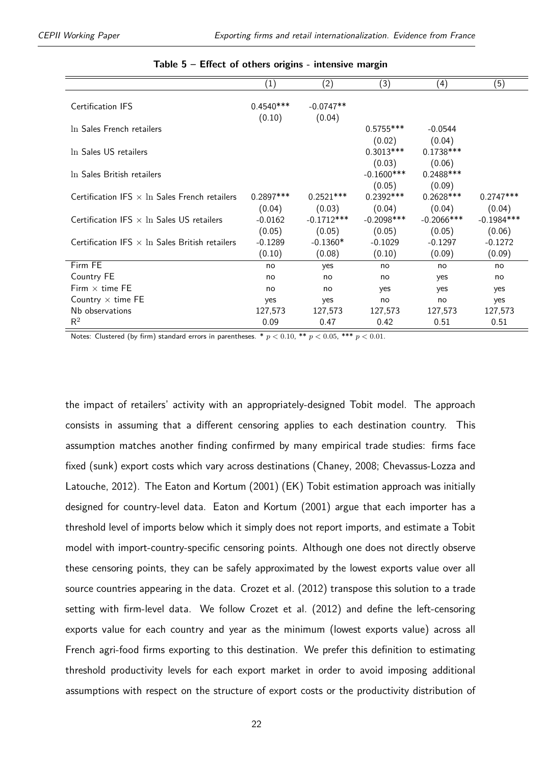<span id="page-21-0"></span>

|                                                       | $\left( 1\right)$     | (2)                   | (3)                               | (4)                             | (5)          |
|-------------------------------------------------------|-----------------------|-----------------------|-----------------------------------|---------------------------------|--------------|
| <b>Certification IFS</b>                              | $0.4540***$<br>(0.10) | $-0.0747**$<br>(0.04) |                                   |                                 |              |
| In Sales French retailers                             |                       |                       | $0.5755***$                       | $-0.0544$                       |              |
|                                                       |                       |                       | (0.02)                            | (0.04)                          |              |
| In Sales US retailers                                 |                       |                       | $0.3013***$                       | $0.1738***$                     |              |
| In Sales British retailers                            |                       |                       | (0.03)<br>$-0.1600$ ***<br>(0.05) | (0.06)<br>$0.2488***$<br>(0.09) |              |
| Certification IFS $\times$ In Sales French retailers  | $0.2897***$           | $0.2521***$           | $0.2392***$                       | $0.2628***$                     | $0.2747***$  |
|                                                       | (0.04)                | (0.03)                | (0.04)                            | (0.04)                          | (0.04)       |
| Certification IFS $\times$ In Sales US retailers      | $-0.0162$             | $-0.1712***$          | $-0.2098$ ***                     | $-0.2066$ ***                   | $-0.1984***$ |
|                                                       | (0.05)                | (0.05)                | (0.05)                            | (0.05)                          | (0.06)       |
| Certification IFS $\times$ In Sales British retailers | $-0.1289$             | $-0.1360*$            | $-0.1029$                         | $-0.1297$                       | $-0.1272$    |
|                                                       | (0.10)                | (0.08)                | (0.10)                            | (0.09)                          | (0.09)       |
| Firm FE                                               | no                    | yes                   | no                                | no                              | no           |
| Country FE                                            | no                    | no                    | no                                | yes                             | no           |
| Firm $\times$ time FE                                 | no                    | no                    | yes                               | yes                             | yes          |
| Country $\times$ time FE                              | yes                   | yes                   | no                                | no                              | yes          |
| Nb observations                                       | 127,573               | 127,573               | 127,573                           | 127,573                         | 127,573      |
| $R^2$                                                 | 0.09                  | 0.47                  | 0.42                              | 0.51                            | 0.51         |

#### **Table 5 – Effect of others origins - intensive margin**

Notes: Clustered (by firm) standard errors in parentheses.  $* p < 0.10$ ,  $** p < 0.05$ ,  $*** p < 0.01$ .

the impact of retailers' activity with an appropriately-designed Tobit model. The approach consists in assuming that a different censoring applies to each destination country. This assumption matches another finding confirmed by many empirical trade studies: firms face fixed (sunk) export costs which vary across destinations [\(Chaney,](#page-25-5) [2008;](#page-25-5) [Chevassus-Lozza and](#page-25-6) [Latouche,](#page-25-6) [2012\)](#page-25-6). The [Eaton and Kortum](#page-25-3) [\(2001\)](#page-25-3) (EK) Tobit estimation approach was initially designed for country-level data. [Eaton and Kortum](#page-25-3) [\(2001\)](#page-25-3) argue that each importer has a threshold level of imports below which it simply does not report imports, and estimate a Tobit model with import-country-specific censoring points. Although one does not directly observe these censoring points, they can be safely approximated by the lowest exports value over all source countries appearing in the data. [Crozet et al.](#page-25-4) [\(2012\)](#page-25-4) transpose this solution to a trade setting with firm-level data. We follow [Crozet et al.](#page-25-4) [\(2012\)](#page-25-4) and define the left-censoring exports value for each country and year as the minimum (lowest exports value) across all French agri-food firms exporting to this destination. We prefer this definition to estimating threshold productivity levels for each export market in order to avoid imposing additional assumptions with respect on the structure of export costs or the productivity distribution of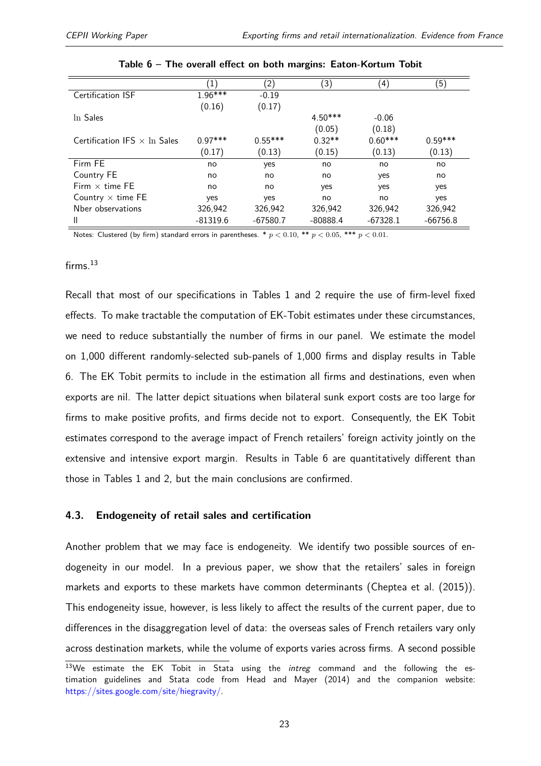<span id="page-22-0"></span>

|                                     | $\left(1\right)$ | $\left( 2\right)$ | (3)        | (4)        | (5)        |
|-------------------------------------|------------------|-------------------|------------|------------|------------|
| Certification ISF                   | $1.96***$        | $-0.19$           |            |            |            |
|                                     | (0.16)           | (0.17)            |            |            |            |
| In Sales                            |                  |                   | $4.50***$  | $-0.06$    |            |
|                                     |                  |                   | (0.05)     | (0.18)     |            |
| Certification IFS $\times$ In Sales | $0.97***$        | $0.55***$         | $0.32**$   | $0.60***$  | $0.59***$  |
|                                     | (0.17)           | (0.13)            | (0.15)     | (0.13)     | (0.13)     |
| Firm FE                             | no               | yes               | no         | no         | no         |
| Country FE                          | no               | no                | no         | yes        | no         |
| Firm $\times$ time FF               | no               | no                | yes        | yes        | yes        |
| Country $\times$ time FE            | yes              | yes               | no         | no         | yes        |
| Nber observations                   | 326,942          | 326,942           | 326,942    | 326,942    | 326,942    |
| Ш                                   | $-81319.6$       | $-67580.7$        | $-80888.4$ | $-67328.1$ | $-66756.8$ |

Notes: Clustered (by firm) standard errors in parentheses. \*  $p < 0.10$ , \*\*  $p < 0.05$ , \*\*\*  $p < 0.01$ .

#### $f$ irms.<sup>[13](#page-2-0)</sup>

Recall that most of our specifications in Tables [1](#page-13-1) and [2](#page-14-0) require the use of firm-level fixed effects. To make tractable the computation of EK-Tobit estimates under these circumstances, we need to reduce substantially the number of firms in our panel. We estimate the model on 1,000 different randomly-selected sub-panels of 1,000 firms and display results in Table [6.](#page-22-0) The EK Tobit permits to include in the estimation all firms and destinations, even when exports are nil. The latter depict situations when bilateral sunk export costs are too large for firms to make positive profits, and firms decide not to export. Consequently, the EK Tobit estimates correspond to the average impact of French retailers' foreign activity jointly on the extensive and intensive export margin. Results in Table [6](#page-22-0) are quantitatively different than those in Tables [1](#page-13-1) and [2,](#page-14-0) but the main conclusions are confirmed.

#### **4.3. Endogeneity of retail sales and certification**

Another problem that we may face is endogeneity. We identify two possible sources of endogeneity in our model. In a previous paper, we show that the retailers' sales in foreign markets and exports to these markets have common determinants [\(Cheptea et al.](#page-25-0) [\(2015\)](#page-25-0)). This endogeneity issue, however, is less likely to affect the results of the current paper, due to differences in the disaggregation level of data: the overseas sales of French retailers vary only across destination markets, while the volume of exports varies across firms. A second possible

<sup>&</sup>lt;sup>13</sup>We estimate the EK Tobit in Stata using the *intreg* command and the following the estimation guidelines and Stata code from [Head and Mayer](#page-26-6) [\(2014\)](#page-26-6) and the companion website: [https://sites.google.com/site/hiegravity/.](https://sites.google.com/site/hiegravity/)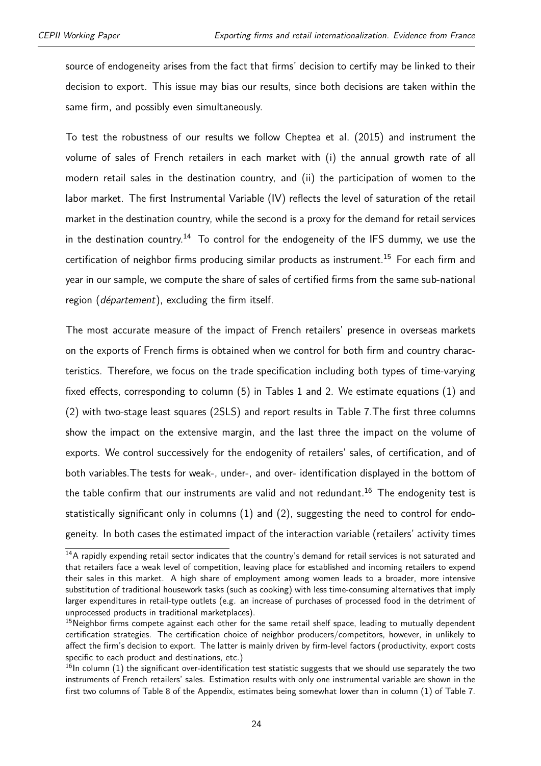source of endogeneity arises from the fact that firms' decision to certify may be linked to their decision to export. This issue may bias our results, since both decisions are taken within the same firm, and possibly even simultaneously.

To test the robustness of our results we follow [Cheptea et al.](#page-25-0) [\(2015\)](#page-25-0) and instrument the volume of sales of French retailers in each market with (i) the annual growth rate of all modern retail sales in the destination country, and (ii) the participation of women to the labor market. The first Instrumental Variable (IV) reflects the level of saturation of the retail market in the destination country, while the second is a proxy for the demand for retail services in the destination country.<sup>[14](#page-2-0)</sup> To control for the endogeneity of the IFS dummy, we use the certification of neighbor firms producing similar products as instrument.<sup>[15](#page-2-0)</sup> For each firm and year in our sample, we compute the share of sales of certified firms from the same sub-national region (département), excluding the firm itself.

The most accurate measure of the impact of French retailers' presence in overseas markets on the exports of French firms is obtained when we control for both firm and country characteristics. Therefore, we focus on the trade specification including both types of time-varying fixed effects, corresponding to column (5) in Tables [1](#page-13-1) and [2.](#page-14-0) We estimate equations [\(1\)](#page-10-0) and [\(2\)](#page-10-1) with two-stage least squares (2SLS) and report results in Table [7.](#page-25-7)The first three columns show the impact on the extensive margin, and the last three the impact on the volume of exports. We control successively for the endogenity of retailers' sales, of certification, and of both variables.The tests for weak-, under-, and over- identification displayed in the bottom of the table confirm that our instruments are valid and not redundant.<sup>[16](#page-2-0)</sup> The endogenity test is statistically significant only in columns (1) and (2), suggesting the need to control for endogeneity. In both cases the estimated impact of the interaction variable (retailers' activity times

<sup>&</sup>lt;sup>14</sup>A rapidly expending retail sector indicates that the country's demand for retail services is not saturated and that retailers face a weak level of competition, leaving place for established and incoming retailers to expend their sales in this market. A high share of employment among women leads to a broader, more intensive substitution of traditional housework tasks (such as cooking) with less time-consuming alternatives that imply larger expenditures in retail-type outlets (e.g. an increase of purchases of processed food in the detriment of unprocessed products in traditional marketplaces).

<sup>&</sup>lt;sup>15</sup>Neighbor firms compete against each other for the same retail shelf space, leading to mutually dependent certification strategies. The certification choice of neighbor producers/competitors, however, in unlikely to affect the firm's decision to export. The latter is mainly driven by firm-level factors (productivity, export costs specific to each product and destinations, etc.)

 $16$ In column (1) the significant over-identification test statistic suggests that we should use separately the two instruments of French retailers' sales. Estimation results with only one instrumental variable are shown in the first two columns of Table [8](#page-28-0) of the Appendix, estimates being somewhat lower than in column (1) of Table [7.](#page-25-7)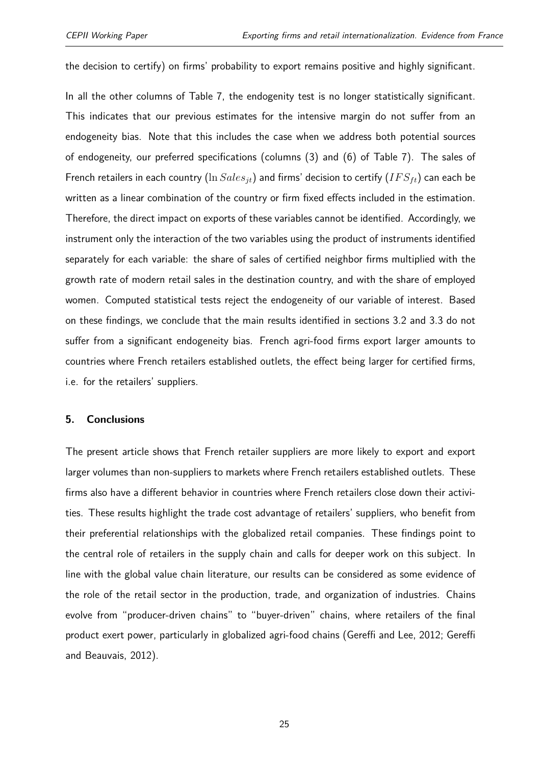the decision to certify) on firms' probability to export remains positive and highly significant.

In all the other columns of Table [7,](#page-25-7) the endogenity test is no longer statistically significant. This indicates that our previous estimates for the intensive margin do not suffer from an endogeneity bias. Note that this includes the case when we address both potential sources of endogeneity, our preferred specifications (columns (3) and (6) of Table [7\)](#page-25-7). The sales of French retailers in each country  $(\ln Sales_{it})$  and firms' decision to certify  $(IFS_{tt})$  can each be written as a linear combination of the country or firm fixed effects included in the estimation. Therefore, the direct impact on exports of these variables cannot be identified. Accordingly, we instrument only the interaction of the two variables using the product of instruments identified separately for each variable: the share of sales of certified neighbor firms multiplied with the growth rate of modern retail sales in the destination country, and with the share of employed women. Computed statistical tests reject the endogeneity of our variable of interest. Based on these findings, we conclude that the main results identified in sections [3.2](#page-11-0) and [3.3](#page-13-0) do not suffer from a significant endogeneity bias. French agri-food firms export larger amounts to countries where French retailers established outlets, the effect being larger for certified firms, i.e. for the retailers' suppliers.

#### <span id="page-24-0"></span>**5. Conclusions**

The present article shows that French retailer suppliers are more likely to export and export larger volumes than non-suppliers to markets where French retailers established outlets. These firms also have a different behavior in countries where French retailers close down their activities. These results highlight the trade cost advantage of retailers' suppliers, who benefit from their preferential relationships with the globalized retail companies. These findings point to the central role of retailers in the supply chain and calls for deeper work on this subject. In line with the global value chain literature, our results can be considered as some evidence of the role of the retail sector in the production, trade, and organization of industries. Chains evolve from "producer-driven chains" to "buyer-driven" chains, where retailers of the final product exert power, particularly in globalized agri-food chains [\(Gereffi and Lee,](#page-25-2) [2012;](#page-25-2) [Gereffi](#page-25-8) [and Beauvais,](#page-25-8) [2012\)](#page-25-8).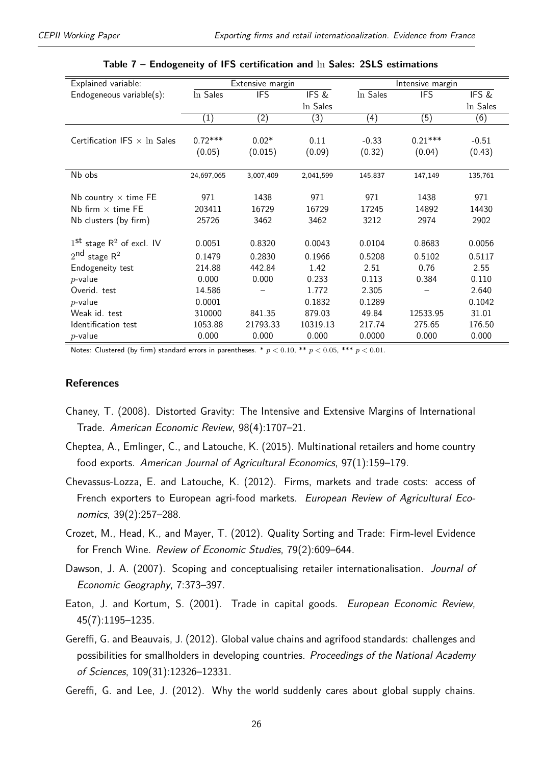<span id="page-25-7"></span>

| Explained variable:                              |                  | Extensive margin  |                  |          | Intensive margin |                  |
|--------------------------------------------------|------------------|-------------------|------------------|----------|------------------|------------------|
| Endogeneous variable(s):                         | In Sales         | <b>IFS</b>        | IFS &            | In Sales | <b>IFS</b>       | IFS &            |
|                                                  |                  |                   | In Sales         |          |                  | In Sales         |
|                                                  | $\overline{(1)}$ | $\left( 2\right)$ | $\overline{(3)}$ | (4)      | $\overline{(5)}$ | $\overline{(6)}$ |
|                                                  |                  |                   |                  |          |                  |                  |
| Certification IFS $\times$ In Sales              | $0.72***$        | $0.02*$           | 0.11             | $-0.33$  | $0.21***$        | $-0.51$          |
|                                                  | (0.05)           | (0.015)           | (0.09)           | (0.32)   | (0.04)           | (0.43)           |
|                                                  |                  |                   |                  |          |                  |                  |
| Nb obs                                           | 24,697,065       | 3,007,409         | 2,041,599        | 145,837  | 147,149          | 135,761          |
|                                                  |                  |                   |                  |          |                  |                  |
| Nb country $\times$ time FE                      | 971              | 1438              | 971              | 971      | 1438             | 971              |
| Nb firm $\times$ time FE                         | 203411           | 16729             | 16729            | 17245    | 14892            | 14430            |
| Nb clusters (by firm)                            | 25726            | 3462              | 3462             | 3212     | 2974             | 2902             |
|                                                  |                  |                   |                  |          |                  |                  |
| $1^{\text{st}}$ stage R <sup>2</sup> of excl. IV | 0.0051           | 0.8320            | 0.0043           | 0.0104   | 0.8683           | 0.0056           |
| $2nd$ stage $R2$                                 | 0.1479           | 0.2830            | 0.1966           | 0.5208   | 0.5102           | 0.5117           |
| Endogeneity test                                 | 214.88           | 442.84            | 1.42             | 2.51     | 0.76             | 2.55             |
| $p$ -value                                       | 0.000            | 0.000             | 0.233            | 0.113    | 0.384            | 0.110            |
| Overid. test                                     | 14.586           |                   | 1.772            | 2.305    |                  | 2.640            |
| $p$ -value                                       | 0.0001           |                   | 0.1832           | 0.1289   |                  | 0.1042           |
| Weak id. test                                    | 310000           | 841.35            | 879.03           | 49.84    | 12533.95         | 31.01            |
| Identification test                              | 1053.88          | 21793.33          | 10319.13         | 217.74   | 275.65           | 176.50           |
| $p$ -value                                       | 0.000            | 0.000             | 0.000            | 0.0000   | 0.000            | 0.000            |

**Table 7 – Endogeneity of IFS certification and** ln **Sales: 2SLS estimations**

Notes: Clustered (by firm) standard errors in parentheses.  $* p < 0.10$ ,  $** p < 0.05$ ,  $*** p < 0.01$ .

#### **References**

- <span id="page-25-5"></span>Chaney, T. (2008). Distorted Gravity: The Intensive and Extensive Margins of International Trade. American Economic Review, 98(4):1707–21.
- <span id="page-25-0"></span>Cheptea, A., Emlinger, C., and Latouche, K. (2015). Multinational retailers and home country food exports. American Journal of Agricultural Economics, 97(1):159–179.
- <span id="page-25-6"></span>Chevassus-Lozza, E. and Latouche, K. (2012). Firms, markets and trade costs: access of French exporters to European agri-food markets. European Review of Agricultural Economics, 39(2):257–288.
- <span id="page-25-4"></span>Crozet, M., Head, K., and Mayer, T. (2012). Quality Sorting and Trade: Firm-level Evidence for French Wine. Review of Economic Studies, 79(2):609–644.
- <span id="page-25-1"></span>Dawson, J. A. (2007). Scoping and conceptualising retailer internationalisation. Journal of Economic Geography, 7:373–397.
- <span id="page-25-3"></span>Eaton, J. and Kortum, S. (2001). Trade in capital goods. European Economic Review, 45(7):1195–1235.
- <span id="page-25-8"></span>Gereffi, G. and Beauvais, J. (2012). Global value chains and agrifood standards: challenges and possibilities for smallholders in developing countries. Proceedings of the National Academy of Sciences, 109(31):12326–12331.
- <span id="page-25-2"></span>Gereffi, G. and Lee, J. (2012). Why the world suddenly cares about global supply chains.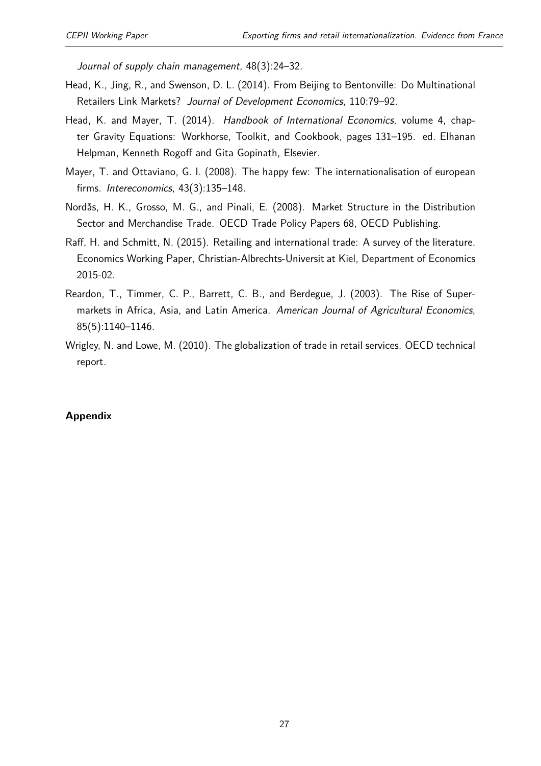Journal of supply chain management, 48(3):24–32.

- <span id="page-26-0"></span>Head, K., Jing, R., and Swenson, D. L. (2014). From Beijing to Bentonville: Do Multinational Retailers Link Markets? Journal of Development Economics, 110:79–92.
- <span id="page-26-6"></span>Head, K. and Mayer, T. (2014). Handbook of International Economics, volume 4, chapter Gravity Equations: Workhorse, Toolkit, and Cookbook, pages 131–195. ed. Elhanan Helpman, Kenneth Rogoff and Gita Gopinath, Elsevier.
- <span id="page-26-2"></span>Mayer, T. and Ottaviano, G. I. (2008). The happy few: The internationalisation of european firms. Intereconomics, 43(3):135–148.
- <span id="page-26-1"></span>Nordås, H. K., Grosso, M. G., and Pinali, E. (2008). Market Structure in the Distribution Sector and Merchandise Trade. OECD Trade Policy Papers 68, OECD Publishing.
- <span id="page-26-5"></span>Raff, H. and Schmitt, N. (2015). Retailing and international trade: A survey of the literature. Economics Working Paper, Christian-Albrechts-Universit at Kiel, Department of Economics 2015-02.
- <span id="page-26-4"></span>Reardon, T., Timmer, C. P., Barrett, C. B., and Berdegue, J. (2003). The Rise of Supermarkets in Africa, Asia, and Latin America. American Journal of Agricultural Economics, 85(5):1140–1146.
- <span id="page-26-3"></span>Wrigley, N. and Lowe, M. (2010). The globalization of trade in retail services. OECD technical report.

#### **Appendix**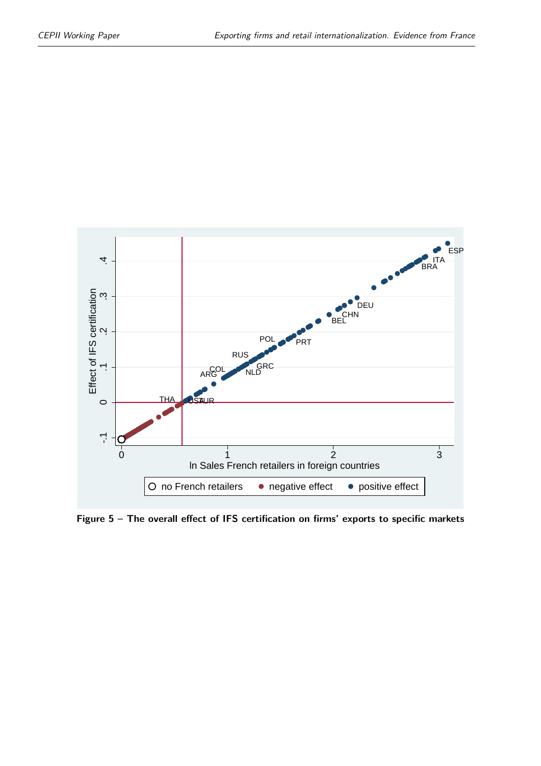<span id="page-27-0"></span>

**Figure 5 – The overall effect of IFS certification on firms' exports to specific markets**